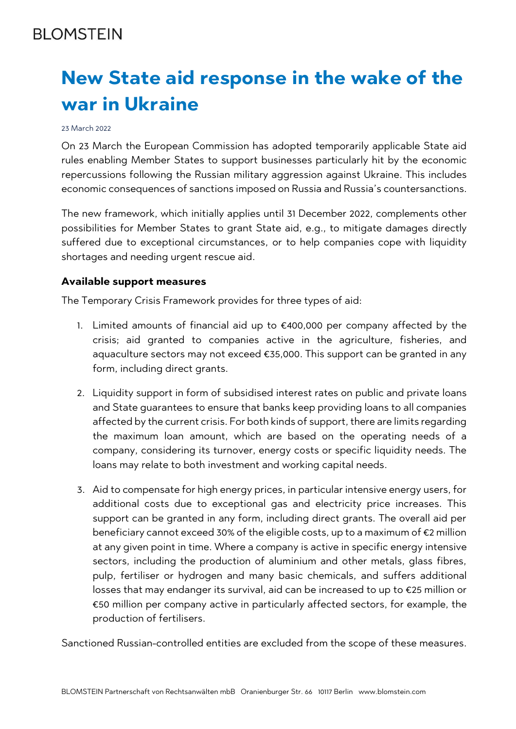## **BI OMSTEIN**

# **New State aid response in the wake of the war in Ukraine**

#### 23 March 2022

On 23 March the European Commission has adopted temporarily applicable State aid rules enabling Member States to support businesses particularly hit by the economic repercussions following the Russian military aggression against Ukraine. This includes economic consequences of sanctions imposed on Russia and Russia's countersanctions.

The new framework, which initially applies until 31 December 2022, complements other possibilities for Member States to grant State aid, e.g., to mitigate damages directly suffered due to exceptional circumstances, or to help companies cope with liquidity shortages and needing urgent rescue aid.

#### **Available support measures**

The Temporary Crisis Framework provides for three types of aid:

- 1. Limited amounts of financial aid up to €400,000 per company affected by the crisis; aid granted to companies active in the agriculture, fisheries, and aquaculture sectors may not exceed €35,000. This support can be granted in any form, including direct grants.
- 2. Liquidity support in form of subsidised interest rates on public and private loans and State guarantees to ensure that banks keep providing loans to all companies affected by the current crisis. For both kinds of support, there are limits regarding the maximum loan amount, which are based on the operating needs of a company, considering its turnover, energy costs or specific liquidity needs. The loans may relate to both investment and working capital needs.
- 3. Aid to compensate for high energy prices, in particular intensive energy users, for additional costs due to exceptional gas and electricity price increases. This support can be granted in any form, including direct grants. The overall aid per beneficiary cannot exceed 30% of the eligible costs, up to a maximum of €2 million at any given point in time. Where a company is active in specific energy intensive sectors, including the production of aluminium and other metals, glass fibres, pulp, fertiliser or hydrogen and many basic chemicals, and suffers additional losses that may endanger its survival, aid can be increased to up to €25 million or €50 million per company active in particularly affected sectors, for example, the production of fertilisers.

Sanctioned Russian-controlled entities are excluded from the scope of these measures.